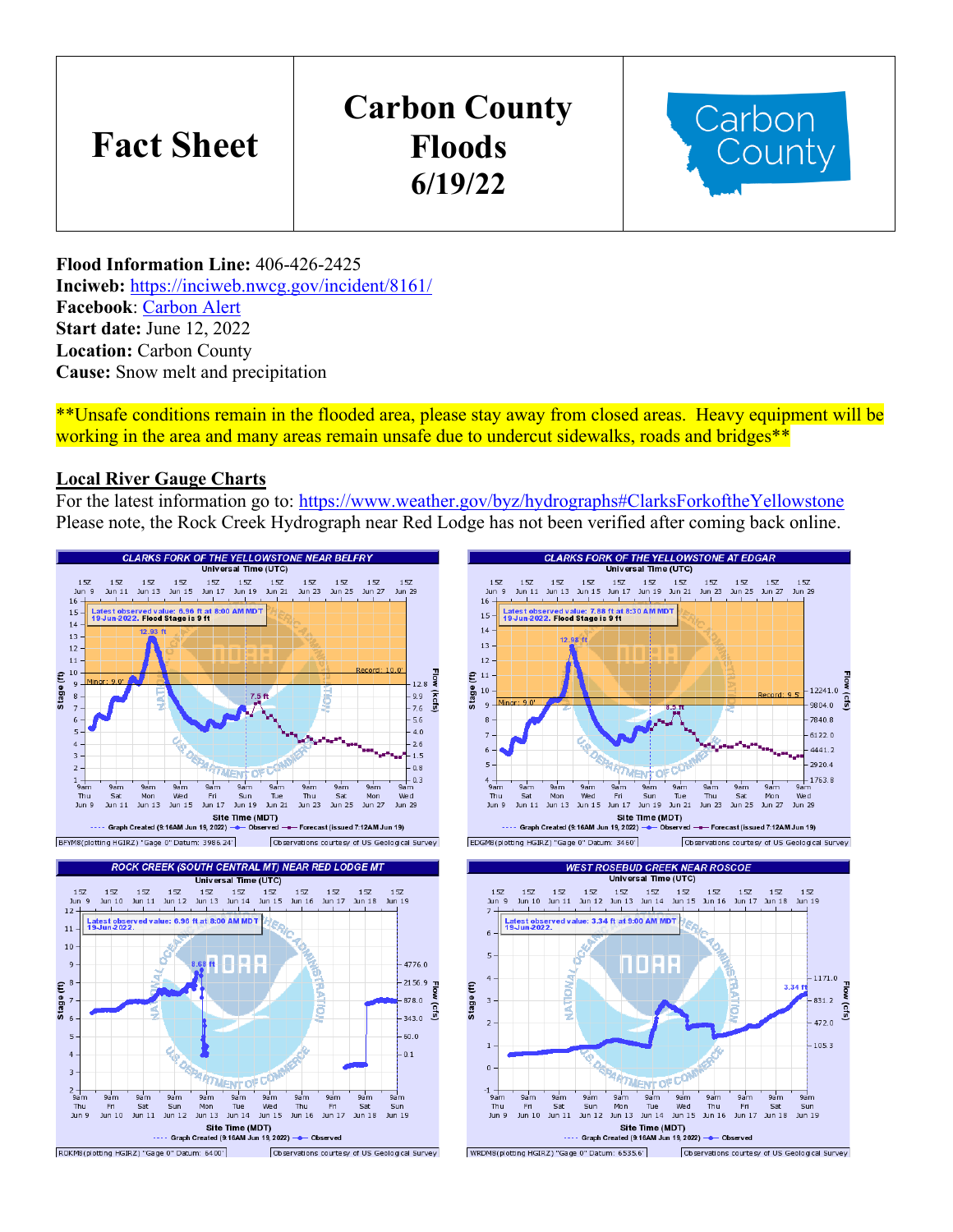# **Fact Sheet**

## **Carbon County Floods 6/19/22**



**Flood Information Line:** 406-426-2425 **Inciweb:** <https://inciweb.nwcg.gov/incident/8161/> **Facebook**: [Carbon Alert](https://www.facebook.com/CarbonAlert/) **Start date:** June 12, 2022 **Location:** Carbon County **Cause:** Snow melt and precipitation

\*\*Unsafe conditions remain in the flooded area, please stay away from closed areas. Heavy equipment will be working in the area and many areas remain unsafe due to undercut sidewalks, roads and bridges\*\*

#### **Local River Gauge Charts**

For the latest information go to:<https://www.weather.gov/byz/hydrographs#ClarksForkoftheYellowstone> Please note, the Rock Creek Hydrograph near Red Lodge has not been verified after coming back online.

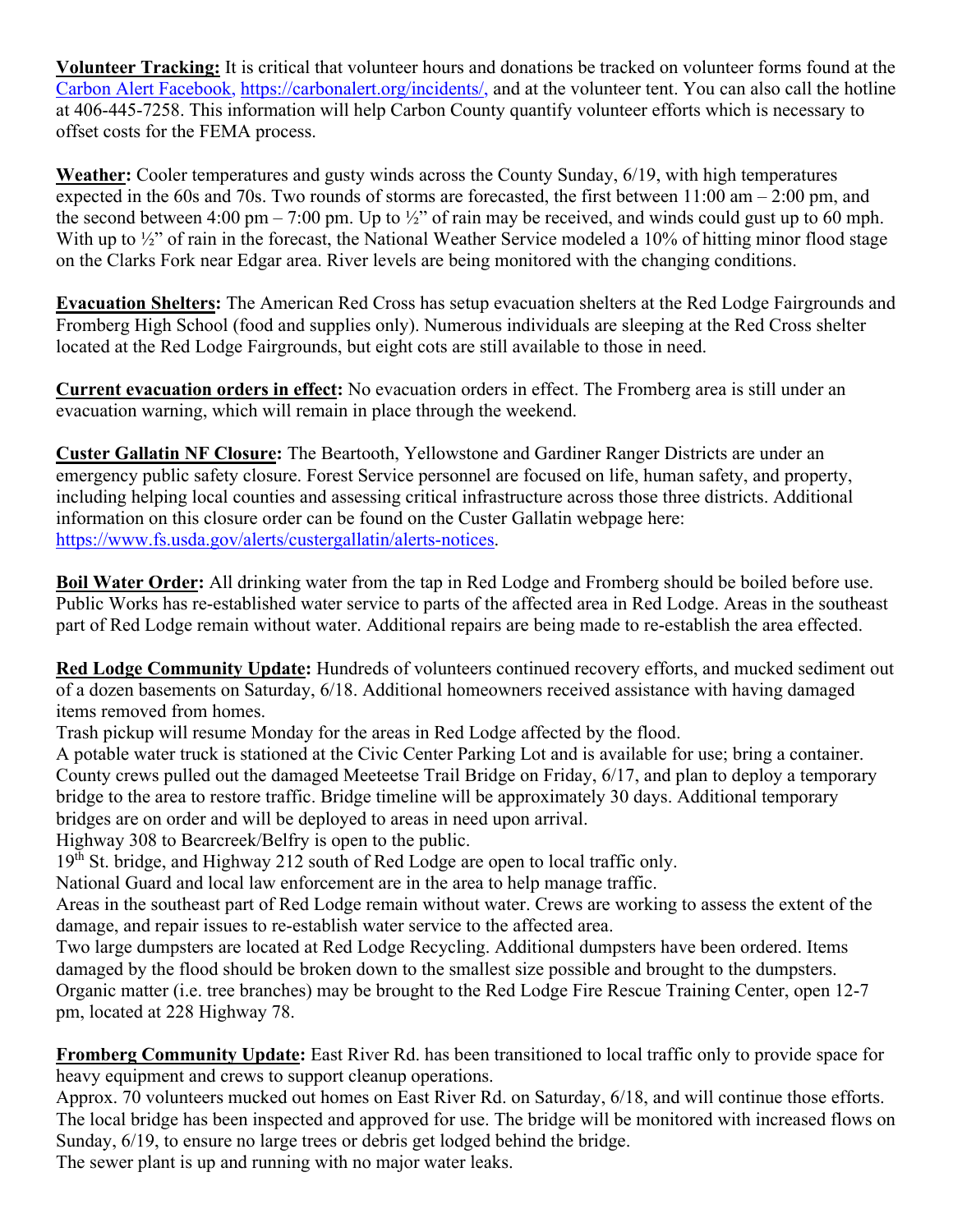**Volunteer Tracking:** It is critical that volunteer hours and donations be tracked on volunteer forms found at the Carbon Alert Facebook, https://carbonalert.org/incidents/, and at the volunteer tent. You can also call the hotline at 406-445-7258. This information will help Carbon County quantify volunteer efforts which is necessary to offset costs for the FEMA process.

**Weather:** Cooler temperatures and gusty winds across the County Sunday, 6/19, with high temperatures expected in the 60s and 70s. Two rounds of storms are forecasted, the first between 11:00 am – 2:00 pm, and the second between 4:00 pm – 7:00 pm. Up to  $\frac{1}{2}$ " of rain may be received, and winds could gust up to 60 mph. With up to  $\frac{1}{2}$  of rain in the forecast, the National Weather Service modeled a 10% of hitting minor flood stage on the Clarks Fork near Edgar area. River levels are being monitored with the changing conditions.

**Evacuation Shelters:** The American Red Cross has setup evacuation shelters at the Red Lodge Fairgrounds and Fromberg High School (food and supplies only). Numerous individuals are sleeping at the Red Cross shelter located at the Red Lodge Fairgrounds, but eight cots are still available to those in need.

**Current evacuation orders in effect:** No evacuation orders in effect. The Fromberg area is still under an evacuation warning, which will remain in place through the weekend.

**Custer Gallatin NF Closure:** The Beartooth, Yellowstone and Gardiner Ranger Districts are under an emergency public safety closure. Forest Service personnel are focused on life, human safety, and property, including helping local counties and assessing critical infrastructure across those three districts. Additional information on this closure order can be found on the Custer Gallatin webpage here: [https://www.fs.usda.gov/alerts/custergallatin/alerts-notices.](https://www.fs.usda.gov/alerts/custergallatin/alerts-notices)

**Boil Water Order:** All drinking water from the tap in Red Lodge and Fromberg should be boiled before use. Public Works has re-established water service to parts of the affected area in Red Lodge. Areas in the southeast part of Red Lodge remain without water. Additional repairs are being made to re-establish the area effected.

**Red Lodge Community Update:** Hundreds of volunteers continued recovery efforts, and mucked sediment out of a dozen basements on Saturday, 6/18. Additional homeowners received assistance with having damaged items removed from homes.

Trash pickup will resume Monday for the areas in Red Lodge affected by the flood.

A potable water truck is stationed at the Civic Center Parking Lot and is available for use; bring a container. County crews pulled out the damaged Meeteetse Trail Bridge on Friday, 6/17, and plan to deploy a temporary bridge to the area to restore traffic. Bridge timeline will be approximately 30 days. Additional temporary bridges are on order and will be deployed to areas in need upon arrival.

Highway 308 to Bearcreek/Belfry is open to the public.

19<sup>th</sup> St. bridge, and Highway 212 south of Red Lodge are open to local traffic only.

National Guard and local law enforcement are in the area to help manage traffic.

Areas in the southeast part of Red Lodge remain without water. Crews are working to assess the extent of the damage, and repair issues to re-establish water service to the affected area.

Two large dumpsters are located at Red Lodge Recycling. Additional dumpsters have been ordered. Items damaged by the flood should be broken down to the smallest size possible and brought to the dumpsters. Organic matter (i.e. tree branches) may be brought to the Red Lodge Fire Rescue Training Center, open 12-7 pm, located at 228 Highway 78.

**Fromberg Community Update:** East River Rd. has been transitioned to local traffic only to provide space for heavy equipment and crews to support cleanup operations.

Approx. 70 volunteers mucked out homes on East River Rd. on Saturday, 6/18, and will continue those efforts. The local bridge has been inspected and approved for use. The bridge will be monitored with increased flows on Sunday, 6/19, to ensure no large trees or debris get lodged behind the bridge.

The sewer plant is up and running with no major water leaks.